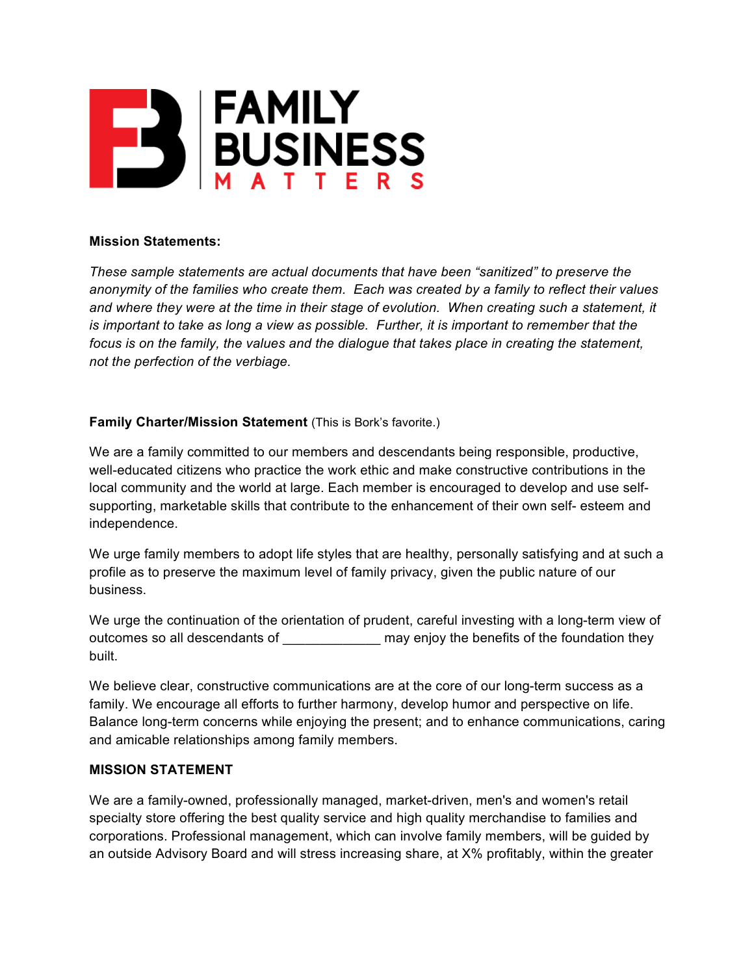

## **Mission Statements:**

*These sample statements are actual documents that have been "sanitized" to preserve the anonymity of the families who create them. Each was created by a family to reflect their values and where they were at the time in their stage of evolution. When creating such a statement, it is important to take as long a view as possible. Further, it is important to remember that the focus is on the family, the values and the dialogue that takes place in creating the statement, not the perfection of the verbiage.*

## **Family Charter/Mission Statement** (This is Bork's favorite.)

We are a family committed to our members and descendants being responsible, productive, well-educated citizens who practice the work ethic and make constructive contributions in the local community and the world at large. Each member is encouraged to develop and use selfsupporting, marketable skills that contribute to the enhancement of their own self- esteem and independence.

We urge family members to adopt life styles that are healthy, personally satisfying and at such a profile as to preserve the maximum level of family privacy, given the public nature of our business.

We urge the continuation of the orientation of prudent, careful investing with a long-term view of outcomes so all descendants of \_\_\_\_\_\_\_\_\_\_\_\_\_ may enjoy the benefits of the foundation they built.

We believe clear, constructive communications are at the core of our long-term success as a family. We encourage all efforts to further harmony, develop humor and perspective on life. Balance long-term concerns while enjoying the present; and to enhance communications, caring and amicable relationships among family members.

## **MISSION STATEMENT**

We are a family-owned, professionally managed, market-driven, men's and women's retail specialty store offering the best quality service and high quality merchandise to families and corporations. Professional management, which can involve family members, will be guided by an outside Advisory Board and will stress increasing share, at X% profitably, within the greater